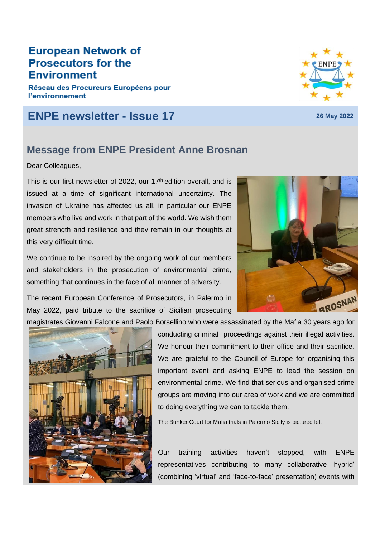#### **European Network of Prosecutors for the Environment**

Réseau des Procureurs Européens pour **l'environnement** 

### **ENPE newsletter - Issue 17 <sup>26</sup> May <sup>2022</sup>**

#### **Message from ENPE President Anne Brosnan**

Dear Colleagues,

This is our first newsletter of 2022, our 17<sup>th</sup> edition overall, and is issued at a time of significant international uncertainty. The invasion of Ukraine has affected us all, in particular our ENPE members who live and work in that part of the world. We wish them great strength and resilience and they remain in our thoughts at this very difficult time.

We continue to be inspired by the ongoing work of our members and stakeholders in the prosecution of environmental crime, something that continues in the face of all manner of adversity.

The recent European Conference of Prosecutors, in Palermo in May 2022, paid tribute to the sacrifice of Sicilian prosecuting

magistrates Giovanni Falcone and Paolo Borsellino who were assassinated by the Mafia 30 years ago for



conducting criminal proceedings against their illegal activities. We honour their commitment to their office and their sacrifice. We are grateful to the Council of Europe for organising this important event and asking ENPE to lead the session on environmental crime. We find that serious and organised crime groups are moving into our area of work and we are committed to doing everything we can to tackle them.

The Bunker Court for Mafia trials in Palermo Sicily is pictured left

Our training activities haven't stopped, with ENPE representatives contributing to many collaborative 'hybrid' (combining 'virtual' and 'face-to-face' presentation) events with



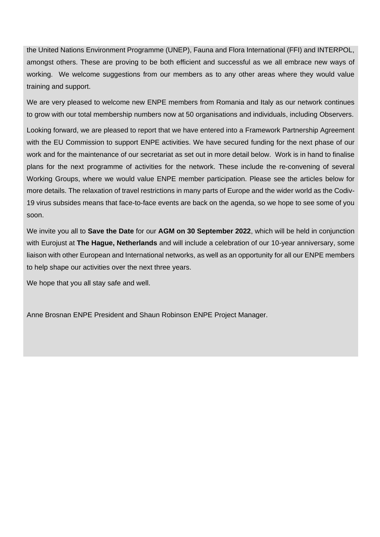the United Nations Environment Programme (UNEP), Fauna and Flora International (FFI) and INTERPOL, amongst others. These are proving to be both efficient and successful as we all embrace new ways of working. We welcome suggestions from our members as to any other areas where they would value training and support.

We are very pleased to welcome new ENPE members from Romania and Italy as our network continues to grow with our total membership numbers now at 50 organisations and individuals, including Observers.

Looking forward, we are pleased to report that we have entered into a Framework Partnership Agreement with the EU Commission to support ENPE activities. We have secured funding for the next phase of our work and for the maintenance of our secretariat as set out in more detail below. Work is in hand to finalise plans for the next programme of activities for the network. These include the re-convening of several Working Groups, where we would value ENPE member participation. Please see the articles below for more details. The relaxation of travel restrictions in many parts of Europe and the wider world as the Codiv-19 virus subsides means that face-to-face events are back on the agenda, so we hope to see some of you soon.

We invite you all to **Save the Date** for our **AGM on 30 September 2022**, which will be held in conjunction with Eurojust at **The Hague, Netherlands** and will include a celebration of our 10-year anniversary, some liaison with other European and International networks, as well as an opportunity for all our ENPE members to help shape our activities over the next three years.

We hope that you all stay safe and well.

Anne Brosnan ENPE President and Shaun Robinson ENPE Project Manager.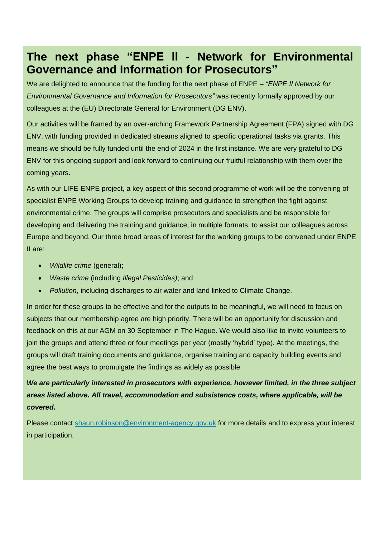## **The next phase "ENPE II - Network for Environmental Governance and Information for Prosecutors"**

We are delighted to announce that the funding for the next phase of ENPE – *"ENPE II Network for Environmental Governance and Information for Prosecutors"* was recently formally approved by our colleagues at the (EU) Directorate General for Environment (DG ENV).

Our activities will be framed by an over-arching Framework Partnership Agreement (FPA) signed with DG ENV, with funding provided in dedicated streams aligned to specific operational tasks via grants. This means we should be fully funded until the end of 2024 in the first instance. We are very grateful to DG ENV for this ongoing support and look forward to continuing our fruitful relationship with them over the coming years.

As with our LIFE-ENPE project, a key aspect of this second programme of work will be the convening of specialist ENPE Working Groups to develop training and guidance to strengthen the fight against environmental crime. The groups will comprise prosecutors and specialists and be responsible for developing and delivering the training and guidance, in multiple formats, to assist our colleagues across Europe and beyond. Our three broad areas of interest for the working groups to be convened under ENPE II are:

- *Wildlife crime* (general);
- *Waste crime* (including *Illegal Pesticides)*; and
- *Pollution*, including discharges to air water and land linked to Climate Change.

In order for these groups to be effective and for the outputs to be meaningful, we will need to focus on subjects that our membership agree are high priority. There will be an opportunity for discussion and feedback on this at our AGM on 30 September in The Hague. We would also like to invite volunteers to join the groups and attend three or four meetings per year (mostly 'hybrid' type). At the meetings, the groups will draft training documents and guidance, organise training and capacity building events and agree the best ways to promulgate the findings as widely as possible.

We are particularly interested in prosecutors with experience, however limited, in the *three subject areas listed above. All travel, accommodation and subsistence costs, where applicable, will be covered.*

Please contact [shaun.robinson@environment-agency.gov.uk](mailto:shaun.robinson@environment-agency.gov.uk) for more details and to express your interest in participation.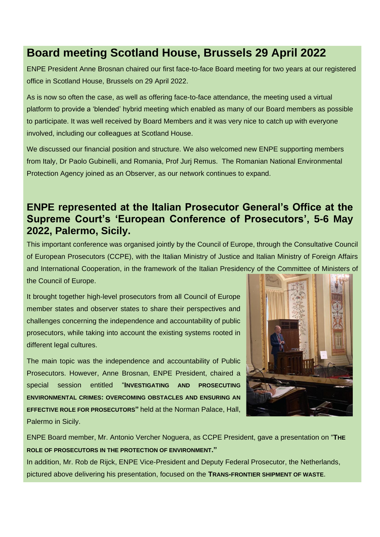### **Board meeting Scotland House, Brussels 29 April 2022**

ENPE President Anne Brosnan chaired our first face-to-face Board meeting for two years at our registered office in Scotland House, Brussels on 29 April 2022.

As is now so often the case, as well as offering face-to-face attendance, the meeting used a virtual platform to provide a 'blended' hybrid meeting which enabled as many of our Board members as possible to participate. It was well received by Board Members and it was very nice to catch up with everyone involved, including our colleagues at Scotland House.

We discussed our financial position and structure. We also welcomed new ENPE supporting members from Italy, Dr Paolo Gubinelli, and Romania, Prof Jurj Remus. The Romanian National Environmental Protection Agency joined as an Observer, as our network continues to expand.

#### **ENPE represented at the Italian Prosecutor General's Office at the Supreme Court's 'European Conference of Prosecutors', 5-6 May 2022, Palermo, Sicily.**

This important conference was organised jointly by the Council of Europe, through the Consultative Council of European Prosecutors (CCPE), with the Italian Ministry of Justice and Italian Ministry of Foreign Affairs and International Cooperation, in the framework of the Italian Presidency of the Committee of Ministers of the Council of Europe.

It brought together high-level prosecutors from all Council of Europe member states and observer states to share their perspectives and challenges concerning the independence and accountability of public prosecutors, while taking into account the existing systems rooted in different legal cultures.

The main topic was the independence and accountability of Public Prosecutors. However, Anne Brosnan, ENPE President, chaired a special session entitled "**INVESTIGATING AND PROSECUTING ENVIRONMENTAL CRIMES: OVERCOMING OBSTACLES AND ENSURING AN EFFECTIVE ROLE FOR PROSECUTORS"** held at the Norman Palace, Hall, Palermo in Sicily.



ENPE Board member, Mr. Antonio Vercher Noguera, as CCPE President, gave a presentation on "**THE ROLE OF PROSECUTORS IN THE PROTECTION OF ENVIRONMENT."**

In addition, Mr. Rob de Rijck, ENPE Vice-President and Deputy Federal Prosecutor, the Netherlands, pictured above delivering his presentation, focused on the **TRANS-FRONTIER SHIPMENT OF WASTE**.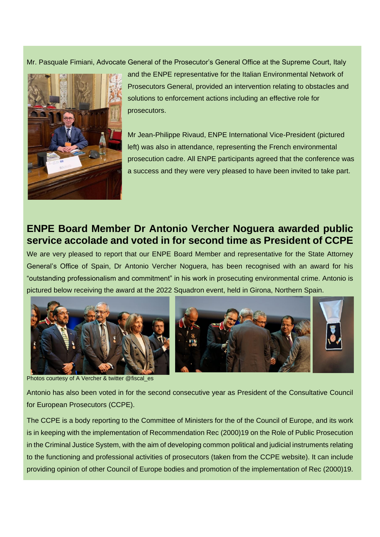Mr. Pasquale Fimiani, Advocate General of the Prosecutor's General Office at the Supreme Court, Italy



and the ENPE representative for the Italian Environmental Network of Prosecutors General, provided an intervention relating to obstacles and solutions to enforcement actions including an effective role for prosecutors.

Mr Jean-Philippe Rivaud, ENPE International Vice-President (pictured left) was also in attendance, representing the French environmental prosecution cadre. All ENPE participants agreed that the conference was a success and they were very pleased to have been invited to take part.

### **ENPE Board Member Dr Antonio Vercher Noguera awarded public service accolade and voted in for second time as President of CCPE**

We are very pleased to report that our ENPE Board Member and representative for the State Attorney General's Office of Spain, Dr Antonio Vercher Noguera, has been recognised with an award for his "outstanding professionalism and commitment" in his work in prosecuting environmental crime. Antonio is pictured below receiving the award at the 2022 Squadron event, held in Girona, Northern Spain.





Photos courtesy of A Vercher & twitter @fiscal\_es

Antonio has also been voted in for the second consecutive year as President of the Consultative Council for European Prosecutors (CCPE).

The CCPE is a body reporting to the Committee of Ministers for the of the Council of Europe, and its work is in keeping with the implementation of Recommendation Rec (2000)19 on the Role of Public Prosecution in the Criminal Justice System, with the aim of developing common political and judicial instruments relating to the functioning and professional activities of prosecutors (taken from the CCPE website). It can include providing opinion of other Council of Europe bodies and promotion of the implementation of Rec (2000)19.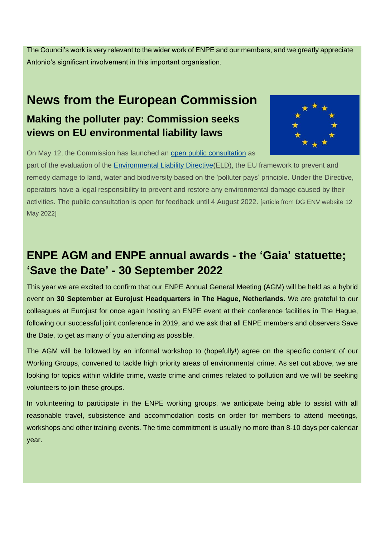The Council's work is very relevant to the wider work of ENPE and our members, and we greatly appreciate Antonio's significant involvement in this important organisation.

# **News from the European Commission Making the polluter pay: Commission seeks views on EU environmental liability laws**



On May 12, the Commission has launched an [open public consultation](https://ec.europa.eu/eusurvey/runner/ELD_evaluation_OPC) as

part of the evaluation of the [Environmental Liability Directive\(](https://eur-lex.europa.eu/legal-content/EN/TXT/?uri=CELEX%3A02004L0035-20190626)ELD), the EU framework to prevent and remedy damage to land, water and biodiversity based on the 'polluter pays' principle. Under the Directive, operators have a legal responsibility to prevent and restore any environmental damage caused by their activities. The public consultation is open for feedback until 4 August 2022. [article from DG ENV website 12 May 2022]

# **ENPE AGM and ENPE annual awards - the 'Gaia' statuette; 'Save the Date' - 30 September 2022**

This year we are excited to confirm that our ENPE Annual General Meeting (AGM) will be held as a hybrid event on **30 September at Eurojust Headquarters in The Hague, Netherlands.** We are grateful to our colleagues at Eurojust for once again hosting an ENPE event at their conference facilities in The Hague, following our successful joint conference in 2019, and we ask that all ENPE members and observers Save the Date, to get as many of you attending as possible.

The AGM will be followed by an informal workshop to (hopefully!) agree on the specific content of our Working Groups, convened to tackle high priority areas of environmental crime. As set out above, we are looking for topics within wildlife crime, waste crime and crimes related to pollution and we will be seeking volunteers to join these groups.

In volunteering to participate in the ENPE working groups, we anticipate being able to assist with all reasonable travel, subsistence and accommodation costs on order for members to attend meetings, workshops and other training events. The time commitment is usually no more than 8-10 days per calendar year.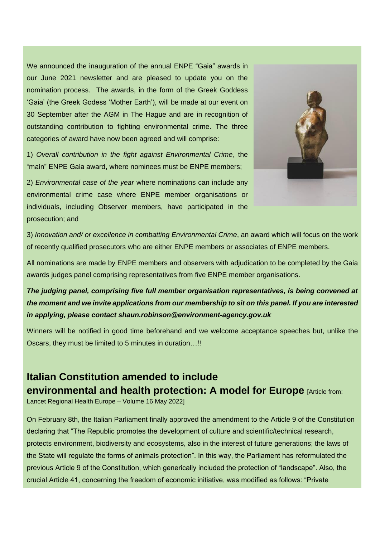We announced the inauguration of the annual ENPE "Gaia" awards in our June 2021 newsletter and are pleased to update you on the nomination process. The awards, in the form of the Greek Goddess 'Gaia' (the Greek Godess 'Mother Earth'), will be made at our event on 30 September after the AGM in The Hague and are in recognition of outstanding contribution to fighting environmental crime. The three categories of award have now been agreed and will comprise:

1) *Overall contribution in the fight against Environmental Crime*, the "main" ENPE Gaia award, where nominees must be ENPE members;

2) *Environmental case of the year* where nominations can include any environmental crime case where ENPE member organisations or individuals, including Observer members, have participated in the prosecution; and



3) *Innovation and/ or excellence in combatting Environmental Crime*, an award which will focus on the work of recently qualified prosecutors who are either ENPE members or associates of ENPE members.

All nominations are made by ENPE members and observers with adjudication to be completed by the Gaia awards judges panel comprising representatives from five ENPE member organisations.

*The judging panel, comprising five full member organisation representatives, is being convened at the moment and we invite applications from our membership to sit on this panel. If you are interested in applying, please contact shaun.robinson@environment-agency.gov.uk*

Winners will be notified in good time beforehand and we welcome acceptance speeches but, unlike the Oscars, they must be limited to 5 minutes in duration…!!

# **Italian Constitution amended to include environmental and health protection: A model for Europe [Article from:**

Lancet Regional Health Europe – Volume 16 May 2022]

On February 8th, the Italian Parliament finally approved the amendment to the Article 9 of the Constitution declaring that "The Republic promotes the development of culture and scientific/technical research, protects environment, biodiversity and ecosystems, also in the interest of future generations; the laws of the State will regulate the forms of animals protection". In this way, the Parliament has reformulated the previous Article 9 of the Constitution, which generically included the protection of "landscape". Also, the crucial Article 41, concerning the freedom of economic initiative, was modified as follows: "Private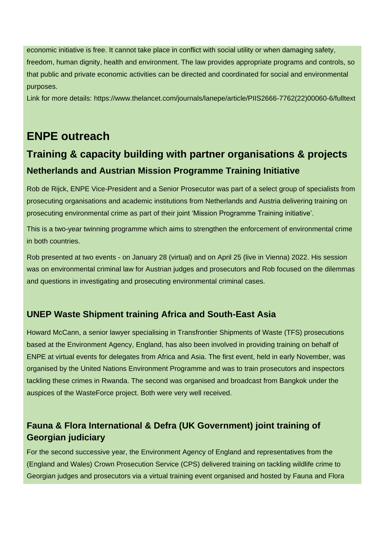economic initiative is free. It cannot take place in conflict with social utility or when damaging safety, freedom, human dignity, health and environment. The law provides appropriate programs and controls, so that public and private economic activities can be directed and coordinated for social and environmental purposes.

Link for more details: https://www.thelancet.com/journals/lanepe/article/PIIS2666-7762(22)00060-6/fulltext

## **ENPE outreach**

# **Training & capacity building with partner organisations & projects Netherlands and Austrian Mission Programme Training Initiative**

Rob de Rijck, ENPE Vice-President and a Senior Prosecutor was part of a select group of specialists from prosecuting organisations and academic institutions from Netherlands and Austria delivering training on prosecuting environmental crime as part of their joint 'Mission Programme Training initiative'.

This is a two-year twinning programme which aims to strengthen the enforcement of environmental crime in both countries.

Rob presented at two events - on January 28 (virtual) and on April 25 (live in Vienna) 2022. His session was on environmental criminal law for Austrian judges and prosecutors and Rob focused on the dilemmas and questions in investigating and prosecuting environmental criminal cases.

#### **UNEP Waste Shipment training Africa and South-East Asia**

Howard McCann, a senior lawyer specialising in Transfrontier Shipments of Waste (TFS) prosecutions based at the Environment Agency, England, has also been involved in providing training on behalf of ENPE at virtual events for delegates from Africa and Asia. The first event, held in early November, was organised by the United Nations Environment Programme and was to train prosecutors and inspectors tackling these crimes in Rwanda. The second was organised and broadcast from Bangkok under the auspices of the WasteForce project. Both were very well received.

#### **Fauna & Flora International & Defra (UK Government) joint training of Georgian judiciary**

For the second successive year, the Environment Agency of England and representatives from the (England and Wales) Crown Prosecution Service (CPS) delivered training on tackling wildlife crime to Georgian judges and prosecutors via a virtual training event organised and hosted by Fauna and Flora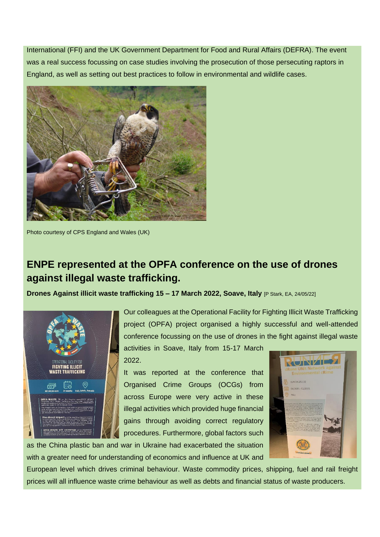International (FFI) and the UK Government Department for Food and Rural Affairs (DEFRA). The event was a real success focussing on case studies involving the prosecution of those persecuting raptors in England, as well as setting out best practices to follow in environmental and wildlife cases.



Photo courtesy of CPS England and Wales (UK)

### **ENPE represented at the OPFA conference on the use of drones against illegal waste trafficking.**

**Drones Against illicit waste trafficking 15 – 17 March 2022, Soave, Italy** [P Stark, EA, 24/05/22]



Our colleagues at the Operational Facility for Fighting Illicit Waste Trafficking project (OPFA) project organised a highly successful and well-attended conference focussing on the use of drones in the fight against illegal waste

activities in Soave, Italy from 15-17 March 2022.

It was reported at the conference that Organised Crime Groups (OCGs) from across Europe were very active in these illegal activities which provided huge financial gains through avoiding correct regulatory procedures. Furthermore, global factors such

as the China plastic ban and war in Ukraine had exacerbated the situation with a greater need for understanding of economics and influence at UK and



European level which drives criminal behaviour. Waste commodity prices, shipping, fuel and rail freight prices will all influence waste crime behaviour as well as debts and financial status of waste producers.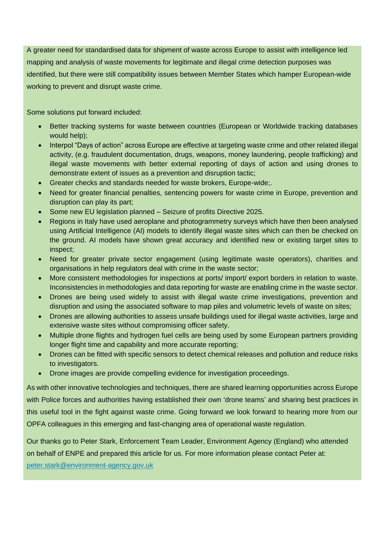A greater need for standardised data for shipment of waste across Europe to assist with intelligence led mapping and analysis of waste movements for legitimate and illegal crime detection purposes was identified, but there were still compatibility issues between Member States which hamper European-wide working to prevent and disrupt waste crime.

Some solutions put forward included:

- Better tracking systems for waste between countries (European or Worldwide tracking databases would help);
- Interpol "Days of action" across Europe are effective at targeting waste crime and other related illegal activity, (e.g. fraudulent documentation, drugs, weapons, money laundering, people trafficking) and illegal waste movements with better external reporting of days of action and using drones to demonstrate extent of issues as a prevention and disruption tactic;
- Greater checks and standards needed for waste brokers, Europe-wide;.
- Need for greater financial penalties, sentencing powers for waste crime in Europe, prevention and disruption can play its part;
- Some new EU legislation planned Seizure of profits Directive 2025.
- Regions in Italy have used aeroplane and photogrammetry surveys which have then been analysed using Artificial Intelligence (AI) models to identify illegal waste sites which can then be checked on the ground. AI models have shown great accuracy and identified new or existing target sites to inspect;
- Need for greater private sector engagement (using legitimate waste operators), charities and organisations in help regulators deal with crime in the waste sector;
- More consistent methodologies for inspections at ports/ import/ export borders in relation to waste. Inconsistencies in methodologies and data reporting for waste are enabling crime in the waste sector.
- Drones are being used widely to assist with illegal waste crime investigations, prevention and disruption and using the associated software to map piles and volumetric levels of waste on sites;
- Drones are allowing authorities to assess unsafe buildings used for illegal waste activities, large and extensive waste sites without compromising officer safety.
- Multiple drone flights and hydrogen fuel cells are being used by some European partners providing longer flight time and capability and more accurate reporting;
- Drones can be fitted with specific sensors to detect chemical releases and pollution and reduce risks to investigators.
- Drone images are provide compelling evidence for investigation proceedings.

As with other innovative technologies and techniques, there are shared learning opportunities across Europe with Police forces and authorities having established their own 'drone teams' and sharing best practices in this useful tool in the fight against waste crime. Going forward we look forward to hearing more from our OPFA colleagues in this emerging and fast-changing area of operational waste regulation.

Our thanks go to Peter Stark, Enforcement Team Leader, Environment Agency (England) who attended on behalf of ENPE and prepared this article for us. For more information please contact Peter at:

[peter.stark@environment-agency.gov.uk](mailto:peter.stark@environment-agency.gov.uk)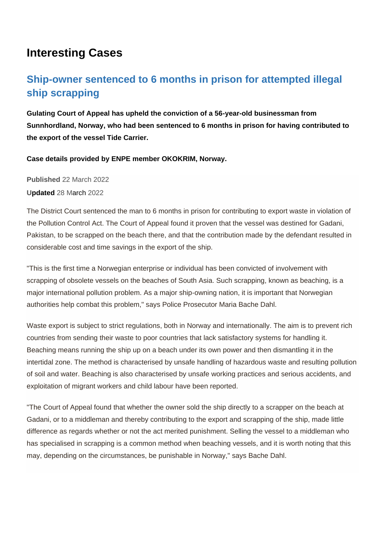## **Interesting Cases**

## **Ship-owner sentenced to 6 months in prison for attempted illegal ship scrapping**

**Gulating Court of Appeal has upheld the conviction of a 56-year-old businessman from Sunnhordland, Norway, who had been sentenced to 6 months in prison for having contributed to the export of the vessel Tide Carrier.**

**Case details provided by ENPE member OKOKRIM, Norway.**

**Published** 22 March 2022

**Updated** 28 March 2022

The District Court sentenced the man to 6 months in prison for contributing to export waste in violation of the Pollution Control Act. The Court of Appeal found it proven that the vessel was destined for Gadani, Pakistan, to be scrapped on the beach there, and that the contribution made by the defendant resulted in considerable cost and time savings in the export of the ship.

"This is the first time a Norwegian enterprise or individual has been convicted of involvement with scrapping of obsolete vessels on the beaches of South Asia. Such scrapping, known as beaching, is a major international pollution problem. As a major ship-owning nation, it is important that Norwegian authorities help combat this problem," says Police Prosecutor Maria Bache Dahl.

Waste export is subject to strict regulations, both in Norway and internationally. The aim is to prevent rich countries from sending their waste to poor countries that lack satisfactory systems for handling it. Beaching means running the ship up on a beach under its own power and then dismantling it in the intertidal zone. The method is characterised by unsafe handling of hazardous waste and resulting pollution of soil and water. Beaching is also characterised by unsafe working practices and serious accidents, and exploitation of migrant workers and child labour have been reported.

"The Court of Appeal found that whether the owner sold the ship directly to a scrapper on the beach at Gadani, or to a middleman and thereby contributing to the export and scrapping of the ship, made little difference as regards whether or not the act merited punishment. Selling the vessel to a middleman who has specialised in scrapping is a common method when beaching vessels, and it is worth noting that this may, depending on the circumstances, be punishable in Norway," says Bache Dahl.